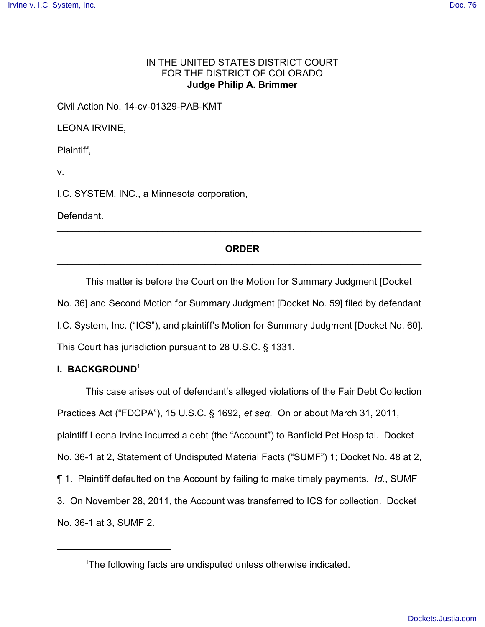## IN THE UNITED STATES DISTRICT COURT FOR THE DISTRICT OF COLORADO **Judge Philip A. Brimmer**

Civil Action No. 14-cv-01329-PAB-KMT

LEONA IRVINE,

Plaintiff,

v.

I.C. SYSTEM, INC., a Minnesota corporation,

Defendant.

# **ORDER** \_\_\_\_\_\_\_\_\_\_\_\_\_\_\_\_\_\_\_\_\_\_\_\_\_\_\_\_\_\_\_\_\_\_\_\_\_\_\_\_\_\_\_\_\_\_\_\_\_\_\_\_\_\_\_\_\_\_\_\_\_\_\_\_\_\_\_\_\_

\_\_\_\_\_\_\_\_\_\_\_\_\_\_\_\_\_\_\_\_\_\_\_\_\_\_\_\_\_\_\_\_\_\_\_\_\_\_\_\_\_\_\_\_\_\_\_\_\_\_\_\_\_\_\_\_\_\_\_\_\_\_\_\_\_\_\_\_\_

This matter is before the Court on the Motion for Summary Judgment [Docket No. 36] and Second Motion for Summary Judgment [Docket No. 59] filed by defendant I.C. System, Inc. ("ICS"), and plaintiff's Motion for Summary Judgment [Docket No. 60]. This Court has jurisdiction pursuant to 28 U.S.C. § 1331.

# **I. BACKGROUND**<sup>1</sup>

This case arises out of defendant's alleged violations of the Fair Debt Collection Practices Act ("FDCPA"), 15 U.S.C. § 1692, *et seq.* On or about March 31, 2011, plaintiff Leona Irvine incurred a debt (the "Account") to Banfield Pet Hospital. Docket No. 36-1 at 2, Statement of Undisputed Material Facts ("SUMF") 1; Docket No. 48 at 2, ¶ 1. Plaintiff defaulted on the Account by failing to make timely payments. *Id*., SUMF 3. On November 28, 2011, the Account was transferred to ICS for collection. Docket No. 36-1 at 3, SUMF 2.

<sup>&</sup>lt;sup>1</sup>The following facts are undisputed unless otherwise indicated.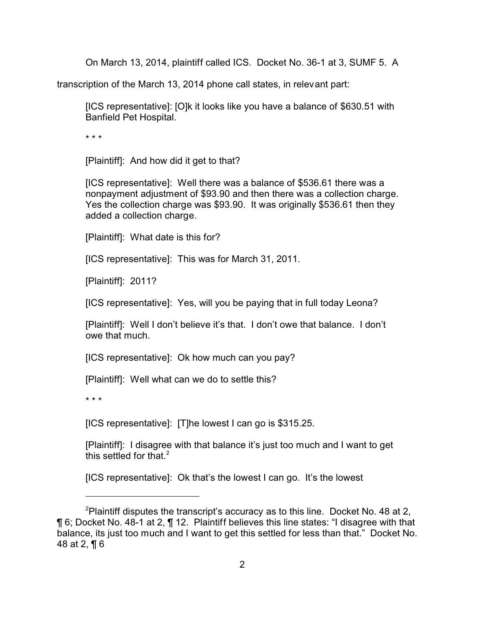On March 13, 2014, plaintiff called ICS. Docket No. 36-1 at 3, SUMF 5. A

transcription of the March 13, 2014 phone call states, in relevant part:

[ICS representative]: [O]k it looks like you have a balance of \$630.51 with Banfield Pet Hospital.

\* \* \*

[Plaintiff]: And how did it get to that?

[ICS representative]: Well there was a balance of \$536.61 there was a nonpayment adjustment of \$93.90 and then there was a collection charge. Yes the collection charge was \$93.90. It was originally \$536.61 then they added a collection charge.

[Plaintiff]: What date is this for?

[ICS representative]: This was for March 31, 2011.

[Plaintiff]: 2011?

[ICS representative]: Yes, will you be paying that in full today Leona?

[Plaintiff]: Well I don't believe it's that. I don't owe that balance. I don't owe that much.

[ICS representative]: Ok how much can you pay?

[Plaintiff]: Well what can we do to settle this?

\* \* \*

[ICS representative]: [T]he lowest I can go is \$315.25.

[Plaintiff]: I disagree with that balance it's just too much and I want to get this settled for that  $2$ 

[ICS representative]: Ok that's the lowest I can go. It's the lowest

<sup>&</sup>lt;sup>2</sup>Plaintiff disputes the transcript's accuracy as to this line. Docket No. 48 at 2, ¶ 6; Docket No. 48-1 at 2, ¶ 12. Plaintiff believes this line states: "I disagree with that balance, its just too much and I want to get this settled for less than that." Docket No. 48 at 2, ¶ 6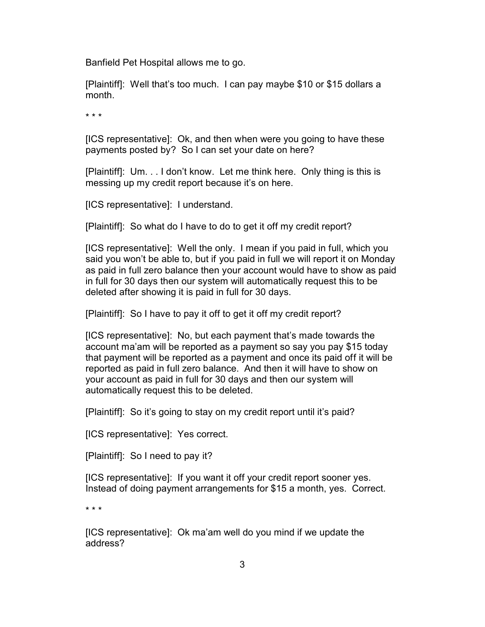Banfield Pet Hospital allows me to go.

[Plaintiff]: Well that's too much. I can pay maybe \$10 or \$15 dollars a month.

\* \* \*

[ICS representative]: Ok, and then when were you going to have these payments posted by? So I can set your date on here?

[Plaintiff]: Um. . . I don't know. Let me think here. Only thing is this is messing up my credit report because it's on here.

[ICS representative]: I understand.

[Plaintiff]: So what do I have to do to get it off my credit report?

[ICS representative]: Well the only. I mean if you paid in full, which you said you won't be able to, but if you paid in full we will report it on Monday as paid in full zero balance then your account would have to show as paid in full for 30 days then our system will automatically request this to be deleted after showing it is paid in full for 30 days.

[Plaintiff]: So I have to pay it off to get it off my credit report?

[ICS representative]: No, but each payment that's made towards the account ma'am will be reported as a payment so say you pay \$15 today that payment will be reported as a payment and once its paid off it will be reported as paid in full zero balance. And then it will have to show on your account as paid in full for 30 days and then our system will automatically request this to be deleted.

[Plaintiff]: So it's going to stay on my credit report until it's paid?

[ICS representative]: Yes correct.

[Plaintiff]: So I need to pay it?

[ICS representative]: If you want it off your credit report sooner yes. Instead of doing payment arrangements for \$15 a month, yes. Correct.

\* \* \*

[ICS representative]: Ok ma'am well do you mind if we update the address?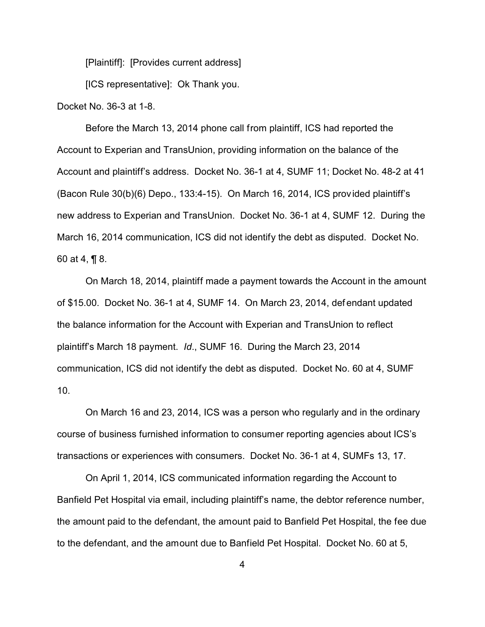[Plaintiff]: [Provides current address]

[ICS representative]: Ok Thank you.

Docket No. 36-3 at 1-8.

Before the March 13, 2014 phone call from plaintiff, ICS had reported the Account to Experian and TransUnion, providing information on the balance of the Account and plaintiff's address. Docket No. 36-1 at 4, SUMF 11; Docket No. 48-2 at 41 (Bacon Rule 30(b)(6) Depo., 133:4-15). On March 16, 2014, ICS provided plaintiff's new address to Experian and TransUnion. Docket No. 36-1 at 4, SUMF 12. During the March 16, 2014 communication, ICS did not identify the debt as disputed. Docket No. 60 at 4, ¶ 8.

On March 18, 2014, plaintiff made a payment towards the Account in the amount of \$15.00. Docket No. 36-1 at 4, SUMF 14. On March 23, 2014, def endant updated the balance information for the Account with Experian and TransUnion to reflect plaintiff's March 18 payment. *Id*., SUMF 16. During the March 23, 2014 communication, ICS did not identify the debt as disputed. Docket No. 60 at 4, SUMF 10.

On March 16 and 23, 2014, ICS was a person who regularly and in the ordinary course of business furnished information to consumer reporting agencies about ICS's transactions or experiences with consumers. Docket No. 36-1 at 4, SUMFs 13, 17.

On April 1, 2014, ICS communicated information regarding the Account to Banfield Pet Hospital via email, including plaintiff's name, the debtor reference number, the amount paid to the defendant, the amount paid to Banfield Pet Hospital, the fee due to the defendant, and the amount due to Banfield Pet Hospital. Docket No. 60 at 5,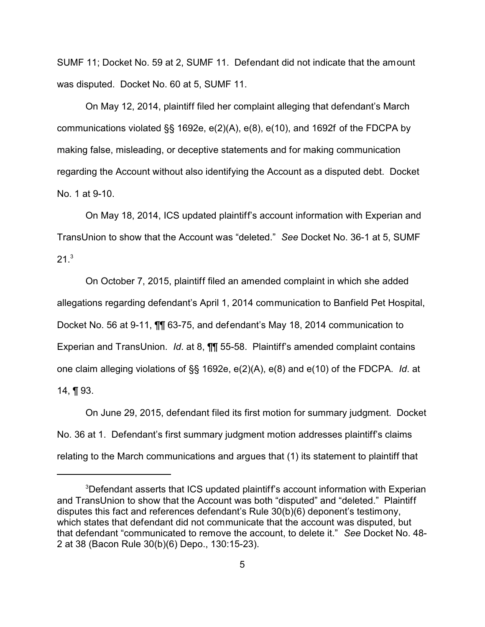SUMF 11; Docket No. 59 at 2, SUMF 11. Defendant did not indicate that the amount was disputed. Docket No. 60 at 5, SUMF 11.

On May 12, 2014, plaintiff filed her complaint alleging that defendant's March communications violated §§ 1692e, e(2)(A), e(8), e(10), and 1692f of the FDCPA by making false, misleading, or deceptive statements and for making communication regarding the Account without also identifying the Account as a disputed debt. Docket No. 1 at 9-10.

On May 18, 2014, ICS updated plaintiff's account information with Experian and TransUnion to show that the Account was "deleted." *See* Docket No. 36-1 at 5, SUMF  $21^{3}$ 

On October 7, 2015, plaintiff filed an amended complaint in which she added allegations regarding defendant's April 1, 2014 communication to Banfield Pet Hospital, Docket No. 56 at 9-11, ¶¶ 63-75, and defendant's May 18, 2014 communication to Experian and TransUnion. *Id*. at 8, ¶¶ 55-58. Plaintiff's amended complaint contains one claim alleging violations of §§ 1692e, e(2)(A), e(8) and e(10) of the FDCPA. *Id*. at 14,  $\P$  93.

On June 29, 2015, defendant filed its first motion for summary judgment. Docket No. 36 at 1. Defendant's first summary judgment motion addresses plaintiff's claims relating to the March communications and argues that (1) its statement to plaintiff that

<sup>&</sup>lt;sup>3</sup>Defendant asserts that ICS updated plaintiff's account information with Experian and TransUnion to show that the Account was both "disputed" and "deleted." Plaintiff disputes this fact and references defendant's Rule 30(b)(6) deponent's testimony, which states that defendant did not communicate that the account was disputed, but that defendant "communicated to remove the account, to delete it." *See* Docket No. 48- 2 at 38 (Bacon Rule 30(b)(6) Depo., 130:15-23).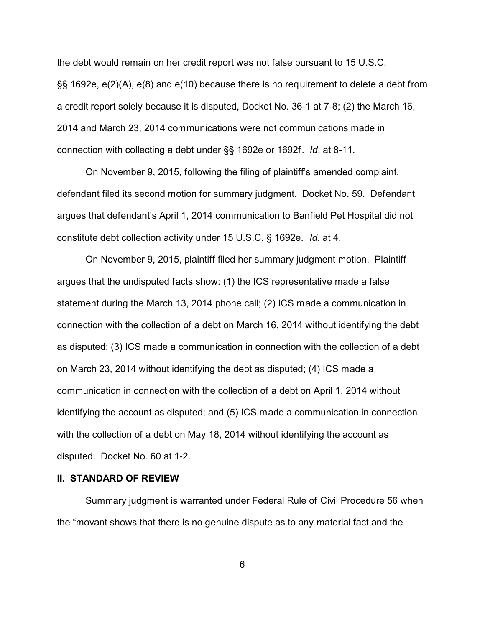the debt would remain on her credit report was not false pursuant to 15 U.S.C. §§ 1692e, e(2)(A), e(8) and e(10) because there is no requirement to delete a debt from a credit report solely because it is disputed, Docket No. 36-1 at 7-8; (2) the March 16, 2014 and March 23, 2014 communications were not communications made in connection with collecting a debt under §§ 1692e or 1692f. *Id*. at 8-11.

On November 9, 2015, following the filing of plaintiff's amended complaint, defendant filed its second motion for summary judgment. Docket No. 59. Defendant argues that defendant's April 1, 2014 communication to Banfield Pet Hospital did not constitute debt collection activity under 15 U.S.C. § 1692e. *Id*. at 4.

On November 9, 2015, plaintiff filed her summary judgment motion. Plaintiff argues that the undisputed facts show: (1) the ICS representative made a false statement during the March 13, 2014 phone call; (2) ICS made a communication in connection with the collection of a debt on March 16, 2014 without identifying the debt as disputed; (3) ICS made a communication in connection with the collection of a debt on March 23, 2014 without identifying the debt as disputed; (4) ICS made a communication in connection with the collection of a debt on April 1, 2014 without identifying the account as disputed; and (5) ICS made a communication in connection with the collection of a debt on May 18, 2014 without identifying the account as disputed. Docket No. 60 at 1-2.

### **II. STANDARD OF REVIEW**

Summary judgment is warranted under Federal Rule of Civil Procedure 56 when the "movant shows that there is no genuine dispute as to any material fact and the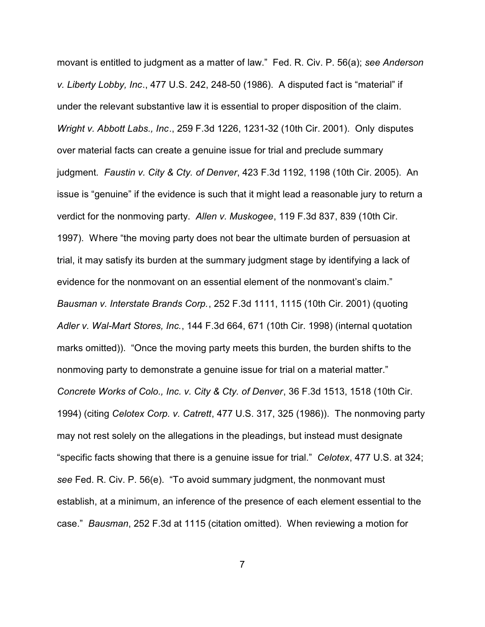movant is entitled to judgment as a matter of law." Fed. R. Civ. P. 56(a); *see Anderson v. Liberty Lobby, Inc*., 477 U.S. 242, 248-50 (1986). A disputed fact is "material" if under the relevant substantive law it is essential to proper disposition of the claim. *Wright v. Abbott Labs., Inc*., 259 F.3d 1226, 1231-32 (10th Cir. 2001). Only disputes over material facts can create a genuine issue for trial and preclude summary judgment*. Faustin v. City & Cty. of Denver*, 423 F.3d 1192, 1198 (10th Cir. 2005). An issue is "genuine" if the evidence is such that it might lead a reasonable jury to return a verdict for the nonmoving party. *Allen v. Muskogee*, 119 F.3d 837, 839 (10th Cir. 1997). Where "the moving party does not bear the ultimate burden of persuasion at trial, it may satisfy its burden at the summary judgment stage by identifying a lack of evidence for the nonmovant on an essential element of the nonmovant's claim." *Bausman v. Interstate Brands Corp.*, 252 F.3d 1111, 1115 (10th Cir. 2001) (quoting *Adler v. Wal-Mart Stores, Inc.*, 144 F.3d 664, 671 (10th Cir. 1998) (internal quotation marks omitted)). "Once the moving party meets this burden, the burden shifts to the nonmoving party to demonstrate a genuine issue for trial on a material matter." *Concrete Works of Colo., Inc. v. City & Cty. of Denver*, 36 F.3d 1513, 1518 (10th Cir. 1994) (citing *Celotex Corp. v. Catrett*, 477 U.S. 317, 325 (1986)). The nonmoving party may not rest solely on the allegations in the pleadings, but instead must designate "specific facts showing that there is a genuine issue for trial." *Celotex*, 477 U.S. at 324; *see* Fed. R. Civ. P. 56(e). "To avoid summary judgment, the nonmovant must establish, at a minimum, an inference of the presence of each element essential to the case." *Bausman*, 252 F.3d at 1115 (citation omitted). When reviewing a motion for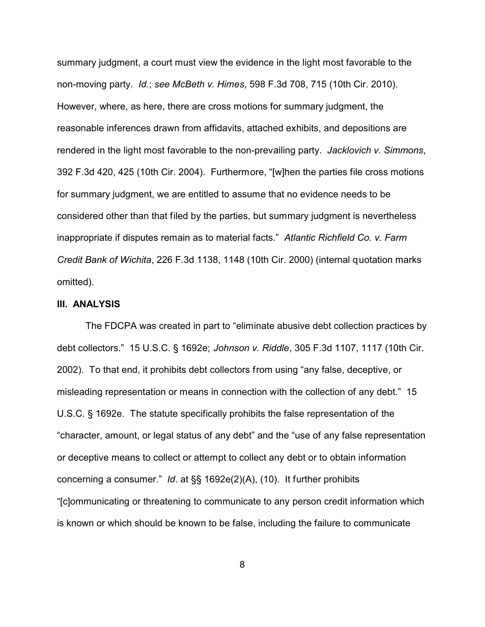summary judgment, a court must view the evidence in the light most favorable to the non-moving party. *Id.*; *see McBeth v. Himes*, 598 F.3d 708, 715 (10th Cir. 2010). However, where, as here, there are cross motions for summary judgment, the reasonable inferences drawn from affidavits, attached exhibits, and depositions are rendered in the light most favorable to the non-prevailing party. *Jacklovich v. Simmons*, 392 F.3d 420, 425 (10th Cir. 2004). Furthermore, "[w]hen the parties file cross motions for summary judgment, we are entitled to assume that no evidence needs to be considered other than that filed by the parties, but summary judgment is nevertheless inappropriate if disputes remain as to material facts." *Atlantic Richfield Co. v. Farm Credit Bank of Wichita*, 226 F.3d 1138, 1148 (10th Cir. 2000) (internal quotation marks omitted).

## **III. ANALYSIS**

The FDCPA was created in part to "eliminate abusive debt collection practices by debt collectors." 15 U.S.C. § 1692e; *Johnson v. Riddle*, 305 F.3d 1107, 1117 (10th Cir. 2002). To that end, it prohibits debt collectors from using "any false, deceptive, or misleading representation or means in connection with the collection of any debt." 15 U.S.C. § 1692e. The statute specifically prohibits the false representation of the "character, amount, or legal status of any debt" and the "use of any false representation or deceptive means to collect or attempt to collect any debt or to obtain information concerning a consumer." *Id*. at §§ 1692e(2)(A), (10). It further prohibits "[c]ommunicating or threatening to communicate to any person credit information which is known or which should be known to be false, including the failure to communicate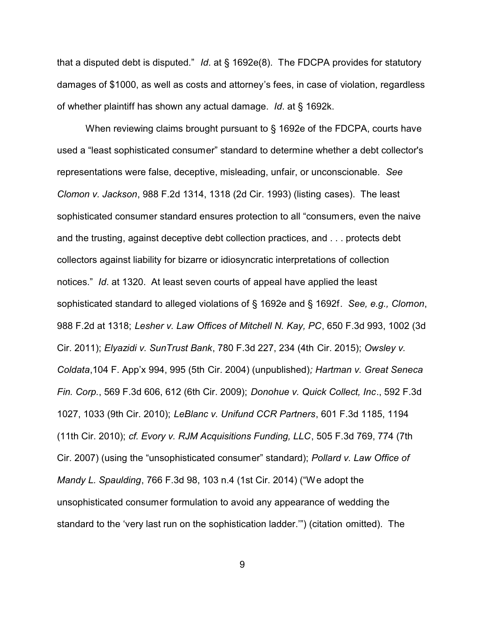that a disputed debt is disputed." *Id*. at § 1692e(8). The FDCPA provides for statutory damages of \$1000, as well as costs and attorney's fees, in case of violation, regardless of whether plaintiff has shown any actual damage. *Id*. at § 1692k.

When reviewing claims brought pursuant to § 1692e of the FDCPA, courts have used a "least sophisticated consumer" standard to determine whether a debt collector's representations were false, deceptive, misleading, unfair, or unconscionable. *See Clomon v. Jackson*, 988 F.2d 1314, 1318 (2d Cir. 1993) (listing cases). The least sophisticated consumer standard ensures protection to all "consumers, even the naive and the trusting, against deceptive debt collection practices, and . . . protects debt collectors against liability for bizarre or idiosyncratic interpretations of collection notices." *Id*. at 1320. At least seven courts of appeal have applied the least sophisticated standard to alleged violations of § 1692e and § 1692f. *See, e.g., Clomon*, 988 F.2d at 1318; *Lesher v. Law Offices of Mitchell N. Kay, PC*, 650 F.3d 993, 1002 (3d Cir. 2011); *Elyazidi v. SunTrust Bank*, 780 F.3d 227, 234 (4th Cir. 2015); *Owsley v. Coldata*,104 F. App'x 994, 995 (5th Cir. 2004) (unpublished)*; Hartman v. Great Seneca Fin. Corp.*, 569 F.3d 606, 612 (6th Cir. 2009); *Donohue v. Quick Collect, Inc*., 592 F.3d 1027, 1033 (9th Cir. 2010); *LeBlanc v. Unifund CCR Partners*, 601 F.3d 1185, 1194 (11th Cir. 2010); *cf. Evory v. RJM Acquisitions Funding, LLC*, 505 F.3d 769, 774 (7th Cir. 2007) (using the "unsophisticated consumer" standard); *Pollard v. Law Office of Mandy L. Spaulding*, 766 F.3d 98, 103 n.4 (1st Cir. 2014) ("We adopt the unsophisticated consumer formulation to avoid any appearance of wedding the standard to the 'very last run on the sophistication ladder.'") (citation omitted). The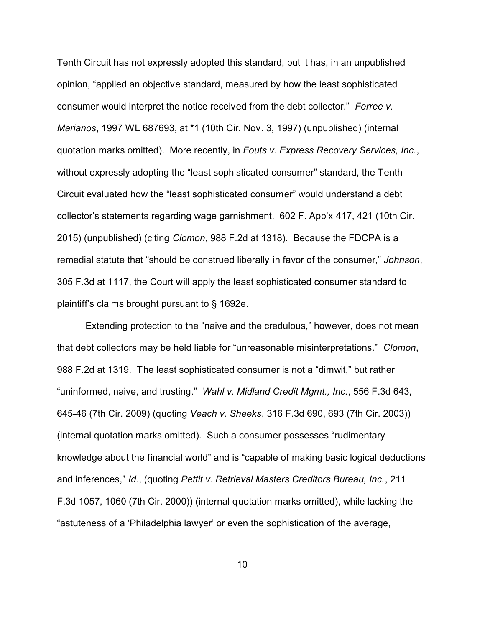Tenth Circuit has not expressly adopted this standard, but it has, in an unpublished opinion, "applied an objective standard, measured by how the least sophisticated consumer would interpret the notice received from the debt collector." *Ferree v. Marianos*, 1997 WL 687693, at \*1 (10th Cir. Nov. 3, 1997) (unpublished) (internal quotation marks omitted). More recently, in *Fouts v. Express Recovery Services, Inc.*, without expressly adopting the "least sophisticated consumer" standard, the Tenth Circuit evaluated how the "least sophisticated consumer" would understand a debt collector's statements regarding wage garnishment. 602 F. App'x 417, 421 (10th Cir. 2015) (unpublished) (citing *Clomon*, 988 F.2d at 1318). Because the FDCPA is a remedial statute that "should be construed liberally in favor of the consumer," *Johnson*, 305 F.3d at 1117, the Court will apply the least sophisticated consumer standard to plaintiff's claims brought pursuant to § 1692e.

Extending protection to the "naive and the credulous," however, does not mean that debt collectors may be held liable for "unreasonable misinterpretations." *Clomon*, 988 F.2d at 1319. The least sophisticated consumer is not a "dimwit," but rather "uninformed, naive, and trusting." *Wahl v. Midland Credit Mgmt., Inc.*, 556 F.3d 643, 645-46 (7th Cir. 2009) (quoting *Veach v. Sheeks*, 316 F.3d 690, 693 (7th Cir. 2003)) (internal quotation marks omitted). Such a consumer possesses "rudimentary knowledge about the financial world" and is "capable of making basic logical deductions and inferences," *Id*., (quoting *Pettit v. Retrieval Masters Creditors Bureau, Inc.*, 211 F.3d 1057, 1060 (7th Cir. 2000)) (internal quotation marks omitted), while lacking the "astuteness of a 'Philadelphia lawyer' or even the sophistication of the average,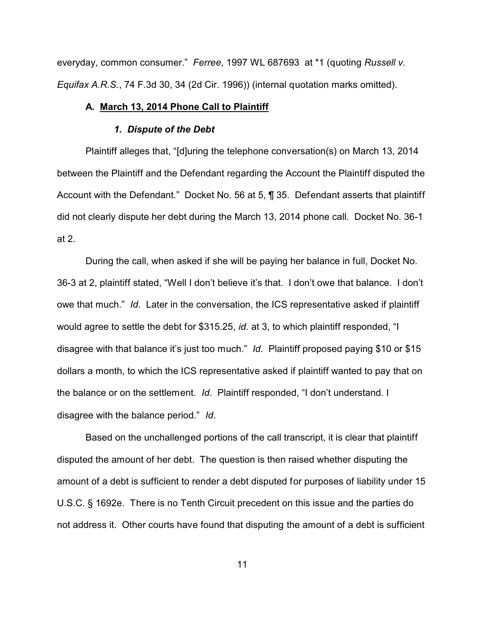everyday, common consumer." *Ferree*, 1997 WL 687693 at \*1 (quoting *Russell v. Equifax A.R.S.*, 74 F.3d 30, 34 (2d Cir. 1996)) (internal quotation marks omitted).

#### **A. March 13, 2014 Phone Call to Plaintiff**

#### *1. Dispute of the Debt*

Plaintiff alleges that, "[d]uring the telephone conversation(s) on March 13, 2014 between the Plaintiff and the Defendant regarding the Account the Plaintiff disputed the Account with the Defendant." Docket No. 56 at 5, ¶ 35. Defendant asserts that plaintiff did not clearly dispute her debt during the March 13, 2014 phone call. Docket No. 36-1 at 2.

During the call, when asked if she will be paying her balance in full, Docket No. 36-3 at 2, plaintiff stated, "Well I don't believe it's that. I don't owe that balance. I don't owe that much." *Id*. Later in the conversation, the ICS representative asked if plaintiff would agree to settle the debt for \$315.25, *id*. at 3, to which plaintiff responded, "I disagree with that balance it's just too much." *Id*.Plaintiff proposed paying \$10 or \$15 dollars a month, to which the ICS representative asked if plaintiff wanted to pay that on the balance or on the settlement. *Id*. Plaintiff responded, "I don't understand. I disagree with the balance period." *Id*.

Based on the unchallenged portions of the call transcript, it is clear that plaintiff disputed the amount of her debt. The question is then raised whether disputing the amount of a debt is sufficient to render a debt disputed for purposes of liability under 15 U.S.C. § 1692e. There is no Tenth Circuit precedent on this issue and the parties do not address it. Other courts have found that disputing the amount of a debt is sufficient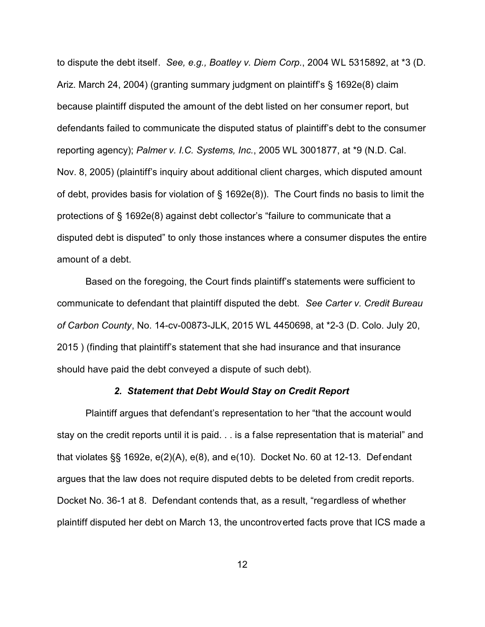to dispute the debt itself. *See, e.g., Boatley v. Diem Corp.*, 2004 WL 5315892, at \*3 (D. Ariz. March 24, 2004) (granting summary judgment on plaintiff's § 1692e(8) claim because plaintiff disputed the amount of the debt listed on her consumer report, but defendants failed to communicate the disputed status of plaintiff's debt to the consumer reporting agency); *Palmer v. I.C. Systems, Inc.*, 2005 WL 3001877, at \*9 (N.D. Cal. Nov. 8, 2005) (plaintiff's inquiry about additional client charges, which disputed amount of debt, provides basis for violation of § 1692e(8)). The Court finds no basis to limit the protections of § 1692e(8) against debt collector's "failure to communicate that a disputed debt is disputed" to only those instances where a consumer disputes the entire amount of a debt.

Based on the foregoing, the Court finds plaintiff's statements were sufficient to communicate to defendant that plaintiff disputed the debt. *See Carter v. Credit Bureau of Carbon County*, No. 14-cv-00873-JLK, 2015 WL 4450698, at \*2-3 (D. Colo. July 20, 2015 ) (finding that plaintiff's statement that she had insurance and that insurance should have paid the debt conveyed a dispute of such debt).

### *2. Statement that Debt Would Stay on Credit Report*

Plaintiff argues that defendant's representation to her "that the account would stay on the credit reports until it is paid. . . is a false representation that is material" and that violates §§ 1692e, e(2)(A), e(8), and e(10). Docket No. 60 at 12-13. Def endant argues that the law does not require disputed debts to be deleted from credit reports. Docket No. 36-1 at 8. Defendant contends that, as a result, "regardless of whether plaintiff disputed her debt on March 13, the uncontroverted facts prove that ICS made a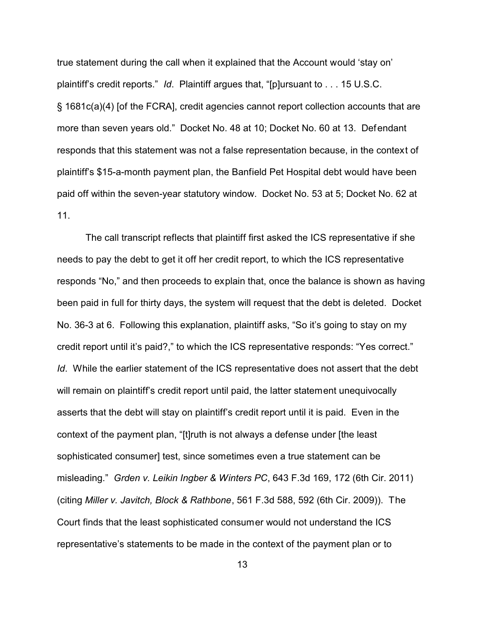true statement during the call when it explained that the Account would 'stay on' plaintiff's credit reports." *Id*. Plaintiff argues that, "[p]ursuant to . . . 15 U.S.C. § 1681c(a)(4) [of the FCRA], credit agencies cannot report collection accounts that are more than seven years old." Docket No. 48 at 10; Docket No. 60 at 13. Defendant responds that this statement was not a false representation because, in the context of plaintiff's \$15-a-month payment plan, the Banfield Pet Hospital debt would have been paid off within the seven-year statutory window. Docket No. 53 at 5; Docket No. 62 at 11.

The call transcript reflects that plaintiff first asked the ICS representative if she needs to pay the debt to get it off her credit report, to which the ICS representative responds "No," and then proceeds to explain that, once the balance is shown as having been paid in full for thirty days, the system will request that the debt is deleted. Docket No. 36-3 at 6. Following this explanation, plaintiff asks, "So it's going to stay on my credit report until it's paid?," to which the ICS representative responds: "Yes correct." *Id.* While the earlier statement of the ICS representative does not assert that the debt will remain on plaintiff's credit report until paid, the latter statement unequivocally asserts that the debt will stay on plaintiff's credit report until it is paid. Even in the context of the payment plan, "[t]ruth is not always a defense under [the least sophisticated consumer] test, since sometimes even a true statement can be misleading." *Grden v. Leikin Ingber & Winters PC*, 643 F.3d 169, 172 (6th Cir. 2011) (citing *Miller v. Javitch, Block & Rathbone*, 561 F.3d 588, 592 (6th Cir. 2009)). The Court finds that the least sophisticated consumer would not understand the ICS representative's statements to be made in the context of the payment plan or to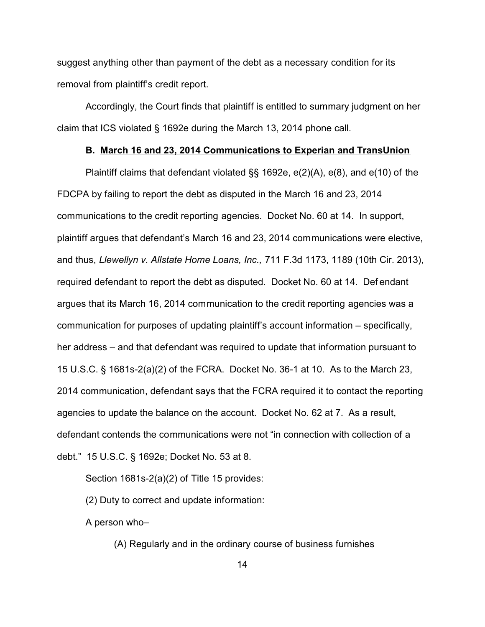suggest anything other than payment of the debt as a necessary condition for its removal from plaintiff's credit report.

Accordingly, the Court finds that plaintiff is entitled to summary judgment on her claim that ICS violated § 1692e during the March 13, 2014 phone call.

### **B. March 16 and 23, 2014 Communications to Experian and TransUnion**

Plaintiff claims that defendant violated §§ 1692e, e(2)(A), e(8), and e(10) of the FDCPA by failing to report the debt as disputed in the March 16 and 23, 2014 communications to the credit reporting agencies. Docket No. 60 at 14. In support, plaintiff argues that defendant's March 16 and 23, 2014 communications were elective, and thus, *Llewellyn v. Allstate Home Loans, Inc.,* 711 F.3d 1173, 1189 (10th Cir. 2013), required defendant to report the debt as disputed. Docket No. 60 at 14. Def endant argues that its March 16, 2014 communication to the credit reporting agencies was a communication for purposes of updating plaintiff's account information – specifically, her address – and that defendant was required to update that information pursuant to 15 U.S.C. § 1681s-2(a)(2) of the FCRA. Docket No. 36-1 at 10. As to the March 23, 2014 communication, defendant says that the FCRA required it to contact the reporting agencies to update the balance on the account. Docket No. 62 at 7. As a result, defendant contends the communications were not "in connection with collection of a debt." 15 U.S.C. § 1692e; Docket No. 53 at 8.

Section 1681s-2(a)(2) of Title 15 provides:

(2) Duty to correct and update information:

A person who–

(A) Regularly and in the ordinary course of business furnishes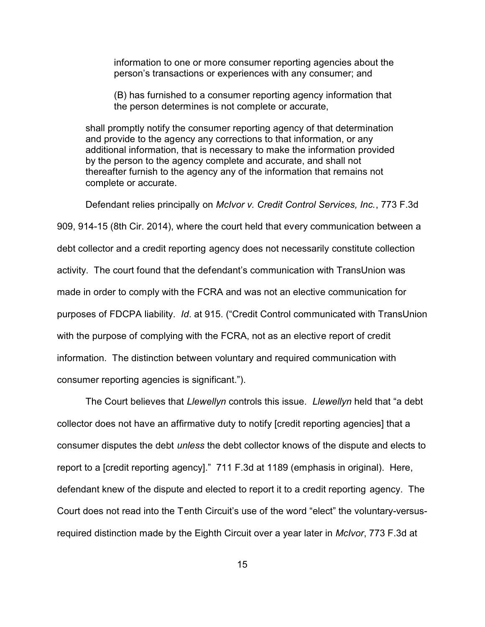information to one or more consumer reporting agencies about the person's transactions or experiences with any consumer; and

(B) has furnished to a consumer reporting agency information that the person determines is not complete or accurate,

shall promptly notify the consumer reporting agency of that determination and provide to the agency any corrections to that information, or any additional information, that is necessary to make the information provided by the person to the agency complete and accurate, and shall not thereafter furnish to the agency any of the information that remains not complete or accurate.

Defendant relies principally on *McIvor v. Credit Control Services, Inc.*, 773 F.3d

909, 914-15 (8th Cir. 2014), where the court held that every communication between a debt collector and a credit reporting agency does not necessarily constitute collection activity. The court found that the defendant's communication with TransUnion was made in order to comply with the FCRA and was not an elective communication for purposes of FDCPA liability. *Id*. at 915. ("Credit Control communicated with TransUnion with the purpose of complying with the FCRA, not as an elective report of credit information. The distinction between voluntary and required communication with consumer reporting agencies is significant.").

The Court believes that *Llewellyn* controls this issue. *Llewellyn* held that "a debt collector does not have an affirmative duty to notify [credit reporting agencies] that a consumer disputes the debt *unless* the debt collector knows of the dispute and elects to report to a [credit reporting agency]." 711 F.3d at 1189 (emphasis in original). Here, defendant knew of the dispute and elected to report it to a credit reporting agency. The Court does not read into the Tenth Circuit's use of the word "elect" the voluntary-versusrequired distinction made by the Eighth Circuit over a year later in *McIvor*, 773 F.3d at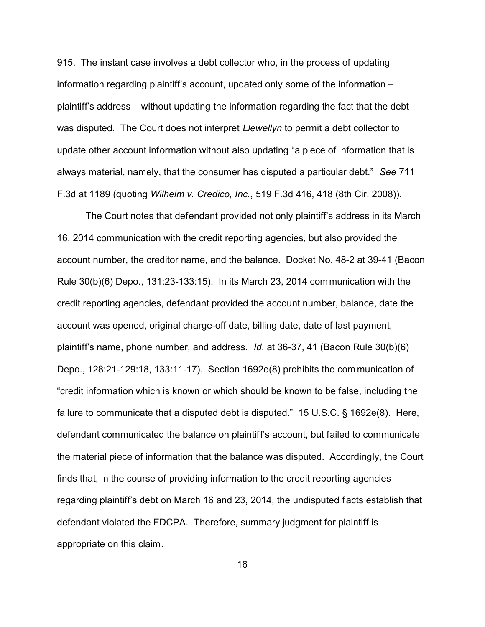915. The instant case involves a debt collector who, in the process of updating information regarding plaintiff's account, updated only some of the information – plaintiff's address – without updating the information regarding the fact that the debt was disputed. The Court does not interpret *Llewellyn* to permit a debt collector to update other account information without also updating "a piece of information that is always material, namely, that the consumer has disputed a particular debt." *See* 711 F.3d at 1189 (quoting *Wilhelm v. Credico, Inc.*, 519 F.3d 416, 418 (8th Cir. 2008)).

The Court notes that defendant provided not only plaintiff's address in its March 16, 2014 communication with the credit reporting agencies, but also provided the account number, the creditor name, and the balance. Docket No. 48-2 at 39-41 (Bacon Rule 30(b)(6) Depo., 131:23-133:15). In its March 23, 2014 communication with the credit reporting agencies, defendant provided the account number, balance, date the account was opened, original charge-off date, billing date, date of last payment, plaintiff's name, phone number, and address. *Id*. at 36-37, 41 (Bacon Rule 30(b)(6) Depo., 128:21-129:18, 133:11-17). Section 1692e(8) prohibits the com munication of "credit information which is known or which should be known to be false, including the failure to communicate that a disputed debt is disputed." 15 U.S.C. § 1692e(8). Here, defendant communicated the balance on plaintiff's account, but failed to communicate the material piece of information that the balance was disputed. Accordingly, the Court finds that, in the course of providing information to the credit reporting agencies regarding plaintiff's debt on March 16 and 23, 2014, the undisputed f acts establish that defendant violated the FDCPA. Therefore, summary judgment for plaintiff is appropriate on this claim.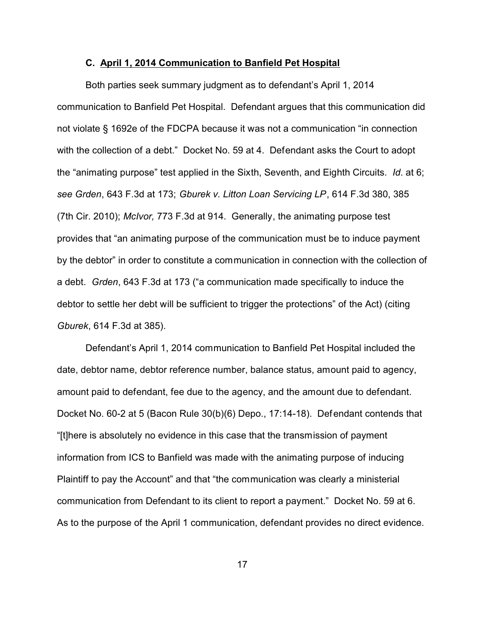### **C. April 1, 2014 Communication to Banfield Pet Hospital**

Both parties seek summary judgment as to defendant's April 1, 2014 communication to Banfield Pet Hospital. Defendant argues that this communication did not violate § 1692e of the FDCPA because it was not a communication "in connection with the collection of a debt." Docket No. 59 at 4. Defendant asks the Court to adopt the "animating purpose" test applied in the Sixth, Seventh, and Eighth Circuits. *Id*. at 6; *see Grden*, 643 F.3d at 173; *Gburek v. Litton Loan Servicing LP*, 614 F.3d 380, 385 (7th Cir. 2010); *McIvor,* 773 F.3d at 914. Generally, the animating purpose test provides that "an animating purpose of the communication must be to induce payment by the debtor" in order to constitute a communication in connection with the collection of a debt. *Grden*, 643 F.3d at 173 ("a communication made specifically to induce the debtor to settle her debt will be sufficient to trigger the protections" of the Act) (citing *Gburek*, 614 F.3d at 385).

Defendant's April 1, 2014 communication to Banfield Pet Hospital included the date, debtor name, debtor reference number, balance status, amount paid to agency, amount paid to defendant, fee due to the agency, and the amount due to defendant. Docket No. 60-2 at 5 (Bacon Rule 30(b)(6) Depo., 17:14-18). Defendant contends that "[t]here is absolutely no evidence in this case that the transmission of payment information from ICS to Banfield was made with the animating purpose of inducing Plaintiff to pay the Account" and that "the communication was clearly a ministerial communication from Defendant to its client to report a payment." Docket No. 59 at 6. As to the purpose of the April 1 communication, defendant provides no direct evidence.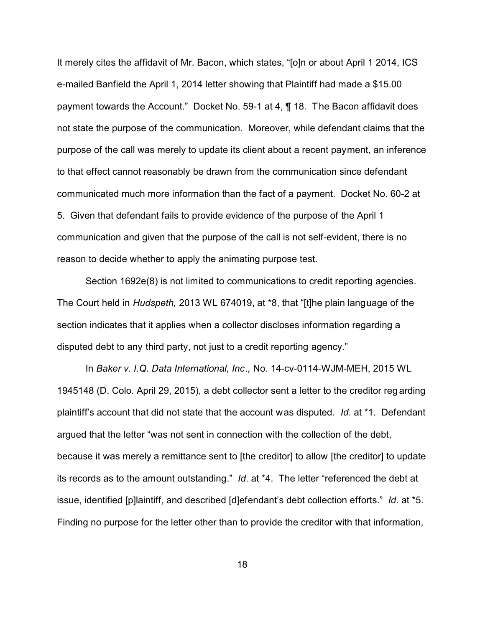It merely cites the affidavit of Mr. Bacon, which states, "[o]n or about April 1 2014, ICS e-mailed Banfield the April 1, 2014 letter showing that Plaintiff had made a \$15.00 payment towards the Account." Docket No. 59-1 at 4, ¶ 18. The Bacon affidavit does not state the purpose of the communication. Moreover, while defendant claims that the purpose of the call was merely to update its client about a recent payment, an inference to that effect cannot reasonably be drawn from the communication since defendant communicated much more information than the fact of a payment. Docket No. 60-2 at 5. Given that defendant fails to provide evidence of the purpose of the April 1 communication and given that the purpose of the call is not self-evident, there is no reason to decide whether to apply the animating purpose test.

Section 1692e(8) is not limited to communications to credit reporting agencies. The Court held in *Hudspeth,* 2013 WL 674019, at \*8, that "[t]he plain language of the section indicates that it applies when a collector discloses information regarding a disputed debt to any third party, not just to a credit reporting agency."

In *Baker v. I.Q. Data International, Inc*.*,* No. 14-cv-0114-WJM-MEH, 2015 WL 1945148 (D. Colo. April 29, 2015), a debt collector sent a letter to the creditor reg arding plaintiff's account that did not state that the account was disputed. *Id*. at \*1. Defendant argued that the letter "was not sent in connection with the collection of the debt, because it was merely a remittance sent to [the creditor] to allow [the creditor] to update its records as to the amount outstanding." *Id*. at \*4. The letter "referenced the debt at issue, identified [p]laintiff, and described [d]efendant's debt collection efforts." *Id*. at \*5. Finding no purpose for the letter other than to provide the creditor with that information,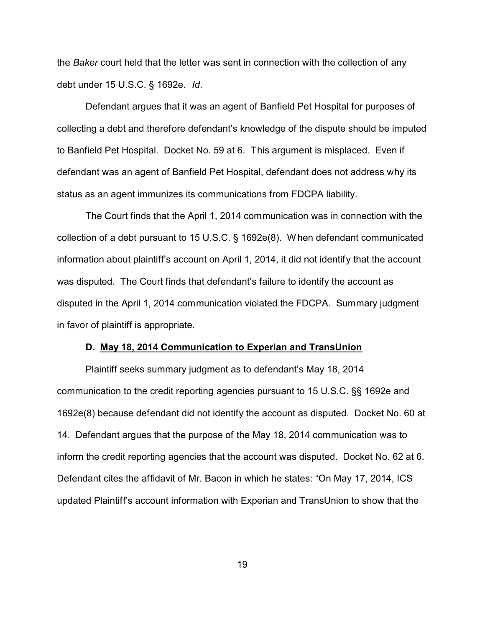the *Baker* court held that the letter was sent in connection with the collection of any debt under 15 U.S.C. § 1692e. *Id*.

Defendant argues that it was an agent of Banfield Pet Hospital for purposes of collecting a debt and therefore defendant's knowledge of the dispute should be imputed to Banfield Pet Hospital. Docket No. 59 at 6. This argument is misplaced. Even if defendant was an agent of Banfield Pet Hospital, defendant does not address why its status as an agent immunizes its communications from FDCPA liability.

The Court finds that the April 1, 2014 communication was in connection with the collection of a debt pursuant to 15 U.S.C. § 1692e(8). When defendant communicated information about plaintiff's account on April 1, 2014, it did not identify that the account was disputed. The Court finds that defendant's failure to identify the account as disputed in the April 1, 2014 communication violated the FDCPA. Summary judgment in favor of plaintiff is appropriate.

## **D. May 18, 2014 Communication to Experian and TransUnion**

Plaintiff seeks summary judgment as to defendant's May 18, 2014 communication to the credit reporting agencies pursuant to 15 U.S.C. §§ 1692e and 1692e(8) because defendant did not identify the account as disputed. Docket No. 60 at 14. Defendant argues that the purpose of the May 18, 2014 communication was to inform the credit reporting agencies that the account was disputed. Docket No. 62 at 6. Defendant cites the affidavit of Mr. Bacon in which he states: "On May 17, 2014, ICS updated Plaintiff's account information with Experian and TransUnion to show that the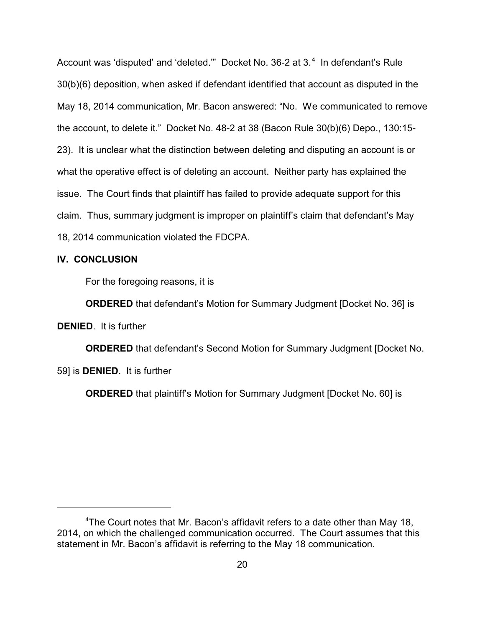Account was 'disputed' and 'deleted.'" Docket No. 36-2 at 3.<sup>4</sup> In defendant's Rule 30(b)(6) deposition, when asked if defendant identified that account as disputed in the May 18, 2014 communication, Mr. Bacon answered: "No. We communicated to remove the account, to delete it." Docket No. 48-2 at 38 (Bacon Rule 30(b)(6) Depo., 130:15- 23). It is unclear what the distinction between deleting and disputing an account is or what the operative effect is of deleting an account. Neither party has explained the issue. The Court finds that plaintiff has failed to provide adequate support for this claim. Thus, summary judgment is improper on plaintiff's claim that defendant's May 18, 2014 communication violated the FDCPA.

## **IV. CONCLUSION**

For the foregoing reasons, it is

**ORDERED** that defendant's Motion for Summary Judgment [Docket No. 36] is

**DENIED**. It is further

**ORDERED** that defendant's Second Motion for Summary Judgment [Docket No. 59] is **DENIED**. It is further

**ORDERED** that plaintiff's Motion for Summary Judgment [Docket No. 60] is

<sup>&</sup>lt;sup>4</sup>The Court notes that Mr. Bacon's affidavit refers to a date other than May 18, 2014, on which the challenged communication occurred. The Court assumes that this statement in Mr. Bacon's affidavit is referring to the May 18 communication.